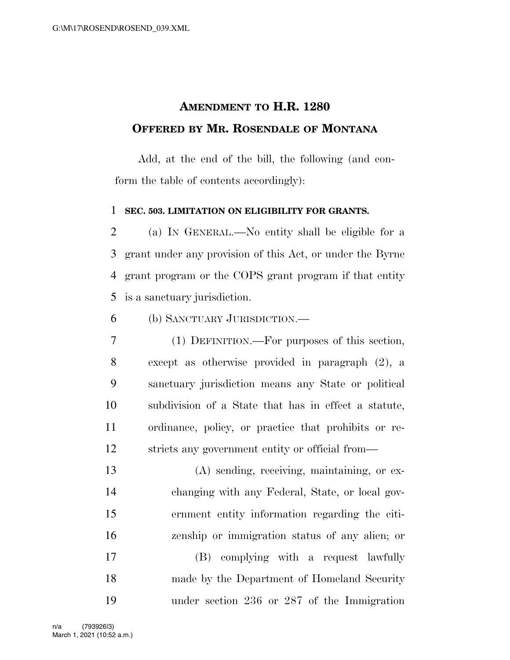## **AMENDMENT TO H.R. 1280 OFFERED BY MR. ROSENDALE OF MONTANA**

Add, at the end of the bill, the following (and conform the table of contents accordingly):

## **SEC. 503. LIMITATION ON ELIGIBILITY FOR GRANTS.**

 (a) IN GENERAL.—No entity shall be eligible for a grant under any provision of this Act, or under the Byrne grant program or the COPS grant program if that entity is a sanctuary jurisdiction.

(b) SANCTUARY JURISDICTION.—

 (1) DEFINITION.—For purposes of this section, except as otherwise provided in paragraph (2), a sanctuary jurisdiction means any State or political subdivision of a State that has in effect a statute, ordinance, policy, or practice that prohibits or re-stricts any government entity or official from—

 (A) sending, receiving, maintaining, or ex- changing with any Federal, State, or local gov- ernment entity information regarding the citi-zenship or immigration status of any alien; or

 (B) complying with a request lawfully made by the Department of Homeland Security under section 236 or 287 of the Immigration

March 1, 2021 (10:52 a.m.) n/a (793926|3)